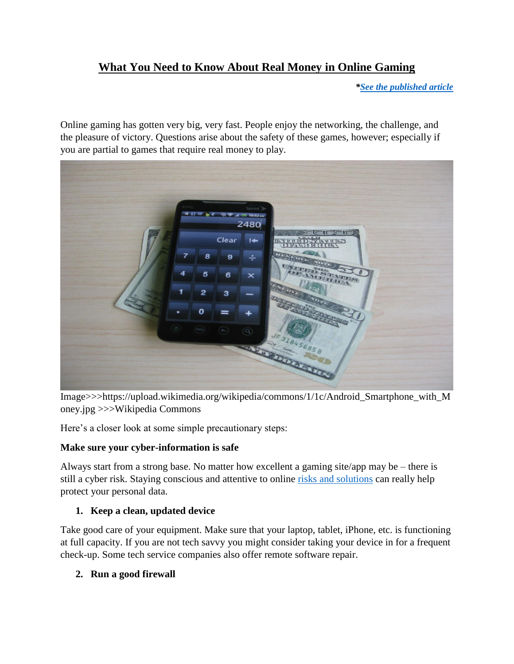# **What You Need to Know About Real Money in Online Gaming**

*[\\*See the published article](https://www.techwalls.com/need-know-real-money-online-gaming/)*

Online gaming has gotten very big, very fast. People enjoy the networking, the challenge, and the pleasure of victory. Questions arise about the safety of these games, however; especially if you are partial to games that require real money to play.



Image>>>https://upload.wikimedia.org/wikipedia/commons/1/1c/Android\_Smartphone\_with\_M oney.jpg >>>Wikipedia Commons

Here's a closer look at some simple precautionary steps:

# **Make sure your cyber-information is safe**

Always start from a strong base. No matter how excellent a gaming site/app may be – there is still a cyber risk. Staying conscious and attentive to online [risks and solutions](https://www.us-cert.gov/sites/default/files/publications/gaming.pdf) can really help protect your personal data.

# **1. Keep a clean, updated device**

Take good care of your equipment. Make sure that your laptop, tablet, iPhone, etc. is functioning at full capacity. If you are not tech savvy you might consider taking your device in for a frequent check-up. Some tech service companies also offer remote software repair.

**2. Run a good firewall**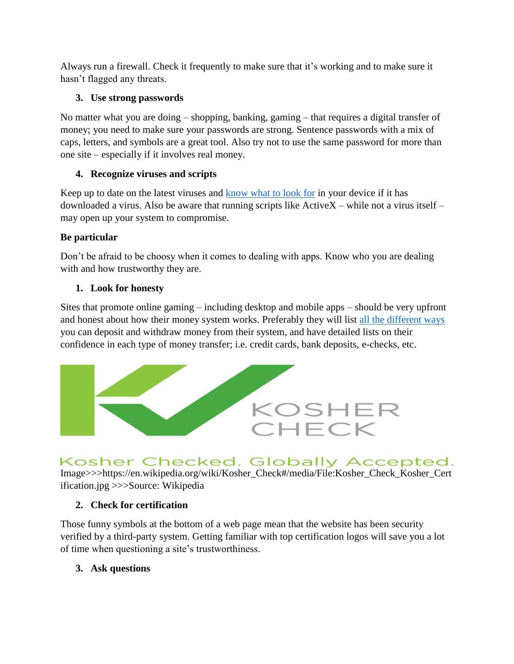Always run a firewall. Check it frequently to make sure that it's working and to make sure it hasn't flagged any threats.

# **3. Use strong passwords**

No matter what you are doing – shopping, banking, gaming – that requires a digital transfer of money; you need to make sure your passwords are strong. Sentence passwords with a mix of caps, letters, and symbols are a great tool. Also try not to use the same password for more than one site – especially if it involves real money.

# **4. Recognize viruses and scripts**

Keep up to date on the latest viruses and [know what to look for](http://www.wikihow.com/Recognize-a-Computer-Virus-Infection) in your device if it has downloaded a virus. Also be aware that running scripts like ActiveX – while not a virus itself – may open up your system to compromise.

# **Be particular**

Don't be afraid to be choosy when it comes to dealing with apps. Know who you are dealing with and how trustworthy they are.

# **1. Look for honesty**

Sites that promote online gaming – including desktop and mobile apps – should be very upfront and honest about how their money system works. Preferably they will list [all the different ways](https://www.pokerstarscasino.com/real-money/) you can deposit and withdraw money from their system, and have detailed lists on their confidence in each type of money transfer; i.e. credit cards, bank deposits, e-checks, etc.



# Kosher Checked. Globally Accepted.

Image>>>https://en.wikipedia.org/wiki/Kosher\_Check#/media/File:Kosher\_Check\_Kosher\_Cert ification.jpg >>>Source: Wikipedia

# **2. Check for certification**

Those funny symbols at the bottom of a web page mean that the website has been security verified by a third-party system. Getting familiar with top certification logos will save you a lot of time when questioning a site's trustworthiness.

# **3. Ask questions**